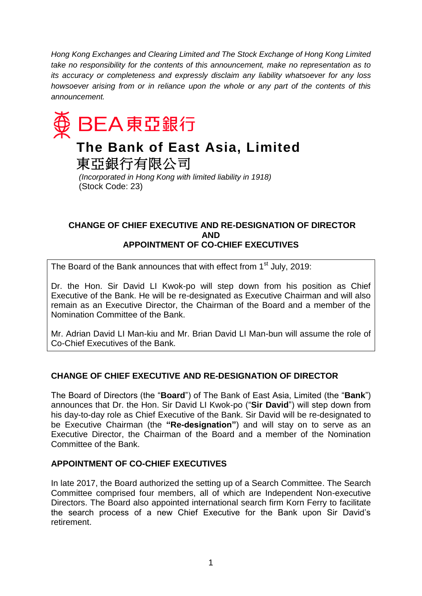*Hong Kong Exchanges and Clearing Limited and The Stock Exchange of Hong Kong Limited take no responsibility for the contents of this announcement, make no representation as to its accuracy or completeness and expressly disclaim any liability whatsoever for any loss howsoever arising from or in reliance upon the whole or any part of the contents of this announcement.*



# **The Bank of East Asia, Limited**

東亞銀行有限公司

*(Incorporated in Hong Kong with limited liability in 1918)* (Stock Code: 23)

## **CHANGE OF CHIEF EXECUTIVE AND RE-DESIGNATION OF DIRECTOR AND APPOINTMENT OF CO-CHIEF EXECUTIVES**

The Board of the Bank announces that with effect from  $1<sup>st</sup>$  July, 2019:

Dr. the Hon. Sir David LI Kwok-po will step down from his position as Chief Executive of the Bank. He will be re-designated as Executive Chairman and will also remain as an Executive Director, the Chairman of the Board and a member of the Nomination Committee of the Bank.

Mr. Adrian David LI Man-kiu and Mr. Brian David LI Man-bun will assume the role of Co-Chief Executives of the Bank.

# **CHANGE OF CHIEF EXECUTIVE AND RE-DESIGNATION OF DIRECTOR**

The Board of Directors (the "**Board**") of The Bank of East Asia, Limited (the "**Bank**") announces that Dr. the Hon. Sir David LI Kwok-po ("**Sir David**") will step down from his day-to-day role as Chief Executive of the Bank. Sir David will be re-designated to be Executive Chairman (the **"Re-designation"**) and will stay on to serve as an Executive Director, the Chairman of the Board and a member of the Nomination Committee of the Bank.

# **APPOINTMENT OF CO-CHIEF EXECUTIVES**

In late 2017, the Board authorized the setting up of a Search Committee. The Search Committee comprised four members, all of which are Independent Non-executive Directors. The Board also appointed international search firm Korn Ferry to facilitate the search process of a new Chief Executive for the Bank upon Sir David's retirement.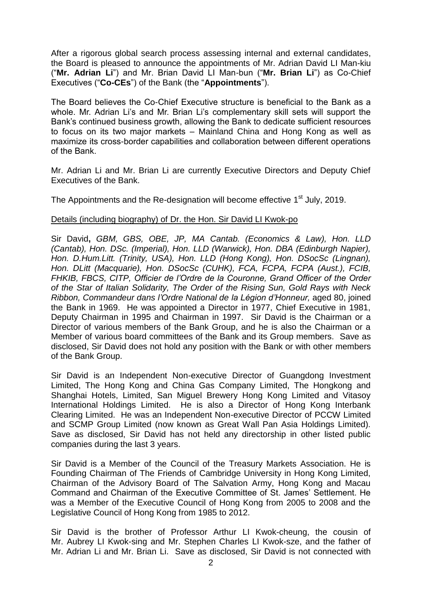After a rigorous global search process assessing internal and external candidates, the Board is pleased to announce the appointments of Mr. Adrian David LI Man-kiu ("**Mr. Adrian Li**") and Mr. Brian David LI Man-bun ("**Mr. Brian Li**") as Co-Chief Executives ("**Co-CEs**") of the Bank (the "**Appointments**").

The Board believes the Co-Chief Executive structure is beneficial to the Bank as a whole. Mr. Adrian Li's and Mr. Brian Li's complementary skill sets will support the Bank's continued business growth, allowing the Bank to dedicate sufficient resources to focus on its two major markets – Mainland China and Hong Kong as well as maximize its cross-border capabilities and collaboration between different operations of the Bank.

Mr. Adrian Li and Mr. Brian Li are currently Executive Directors and Deputy Chief Executives of the Bank.

The Appointments and the Re-designation will become effective 1<sup>st</sup> July, 2019.

### Details (including biography) of Dr. the Hon. Sir David LI Kwok-po

Sir David**,** *GBM, GBS, OBE, JP, MA Cantab. (Economics & Law), Hon. LLD (Cantab), Hon. DSc. (Imperial), Hon. LLD (Warwick), Hon. DBA (Edinburgh Napier), Hon. D.Hum.Litt. (Trinity, USA), Hon. LLD (Hong Kong), Hon. DSocSc (Lingnan), Hon. DLitt (Macquarie), Hon. DSocSc (CUHK), FCA, FCPA, FCPA (Aust.), FCIB, FHKIB, FBCS, CITP, Officier de l'Ordre de la Couronne, Grand Officer of the Order of the Star of Italian Solidarity, The Order of the Rising Sun, Gold Rays with Neck Ribbon, Commandeur dans l'Ordre National de la Légion d'Honneur,* aged 80, joined the Bank in 1969. He was appointed a Director in 1977, Chief Executive in 1981, Deputy Chairman in 1995 and Chairman in 1997. Sir David is the Chairman or a Director of various members of the Bank Group, and he is also the Chairman or a Member of various board committees of the Bank and its Group members. Save as disclosed, Sir David does not hold any position with the Bank or with other members of the Bank Group.

Sir David is an Independent Non-executive Director of Guangdong Investment Limited, The Hong Kong and China Gas Company Limited, The Hongkong and Shanghai Hotels, Limited, San Miguel Brewery Hong Kong Limited and Vitasoy International Holdings Limited. He is also a Director of Hong Kong Interbank Clearing Limited. He was an Independent Non-executive Director of PCCW Limited and SCMP Group Limited (now known as Great Wall Pan Asia Holdings Limited). Save as disclosed, Sir David has not held any directorship in other listed public companies during the last 3 years.

Sir David is a Member of the Council of the Treasury Markets Association. He is Founding Chairman of The Friends of Cambridge University in Hong Kong Limited, Chairman of the Advisory Board of The Salvation Army, Hong Kong and Macau Command and Chairman of the Executive Committee of St. James' Settlement. He was a Member of the Executive Council of Hong Kong from 2005 to 2008 and the Legislative Council of Hong Kong from 1985 to 2012.

Sir David is the brother of Professor Arthur LI Kwok-cheung, the cousin of Mr. Aubrey LI Kwok-sing and Mr. Stephen Charles LI Kwok-sze, and the father of Mr. Adrian Li and Mr. Brian Li. Save as disclosed, Sir David is not connected with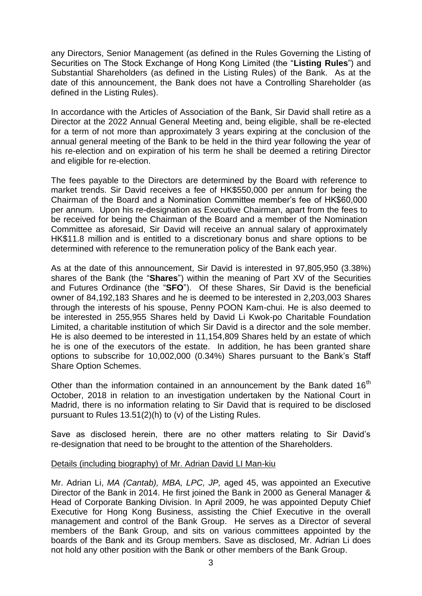any Directors, Senior Management (as defined in the Rules Governing the Listing of Securities on The Stock Exchange of Hong Kong Limited (the "**Listing Rules**") and Substantial Shareholders (as defined in the Listing Rules) of the Bank. As at the date of this announcement, the Bank does not have a Controlling Shareholder (as defined in the Listing Rules).

In accordance with the Articles of Association of the Bank, Sir David shall retire as a Director at the 2022 Annual General Meeting and, being eligible, shall be re-elected for a term of not more than approximately 3 years expiring at the conclusion of the annual general meeting of the Bank to be held in the third year following the year of his re-election and on expiration of his term he shall be deemed a retiring Director and eligible for re-election.

The fees payable to the Directors are determined by the Board with reference to market trends. Sir David receives a fee of HK\$550,000 per annum for being the Chairman of the Board and a Nomination Committee member's fee of HK\$60,000 per annum. Upon his re-designation as Executive Chairman, apart from the fees to be received for being the Chairman of the Board and a member of the Nomination Committee as aforesaid, Sir David will receive an annual salary of approximately HK\$11.8 million and is entitled to a discretionary bonus and share options to be determined with reference to the remuneration policy of the Bank each year.

As at the date of this announcement, Sir David is interested in 97,805,950 (3.38%) shares of the Bank (the "**Shares**") within the meaning of Part XV of the Securities and Futures Ordinance (the "**SFO**"). Of these Shares, Sir David is the beneficial owner of 84,192,183 Shares and he is deemed to be interested in 2,203,003 Shares through the interests of his spouse, Penny POON Kam-chui. He is also deemed to be interested in 255,955 Shares held by David Li Kwok-po Charitable Foundation Limited, a charitable institution of which Sir David is a director and the sole member. He is also deemed to be interested in 11,154,809 Shares held by an estate of which he is one of the executors of the estate. In addition, he has been granted share options to subscribe for 10,002,000 (0.34%) Shares pursuant to the Bank's Staff Share Option Schemes.

Other than the information contained in an announcement by the Bank dated  $16<sup>th</sup>$ October, 2018 in relation to an investigation undertaken by the National Court in Madrid, there is no information relating to Sir David that is required to be disclosed pursuant to Rules 13.51(2)(h) to (v) of the Listing Rules.

Save as disclosed herein, there are no other matters relating to Sir David's re-designation that need to be brought to the attention of the Shareholders.

### Details (including biography) of Mr. Adrian David LI Man-kiu

Mr. Adrian Li, *MA (Cantab), MBA, LPC, JP,* aged 45, was appointed an Executive Director of the Bank in 2014. He first joined the Bank in 2000 as General Manager & Head of Corporate Banking Division. In April 2009, he was appointed Deputy Chief Executive for Hong Kong Business, assisting the Chief Executive in the overall management and control of the Bank Group. He serves as a Director of several members of the Bank Group, and sits on various committees appointed by the boards of the Bank and its Group members. Save as disclosed, Mr. Adrian Li does not hold any other position with the Bank or other members of the Bank Group.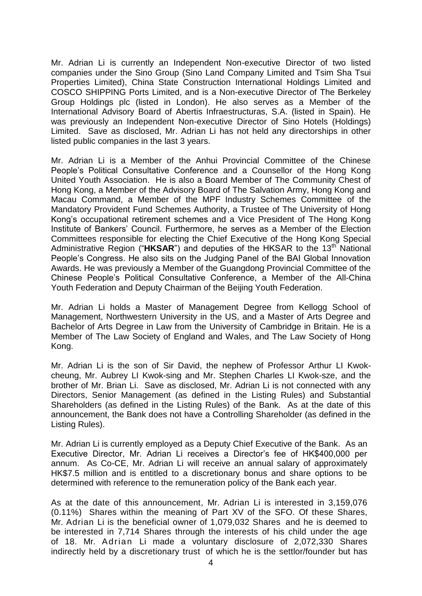Mr. Adrian Li is currently an Independent Non-executive Director of two listed companies under the Sino Group (Sino Land Company Limited and Tsim Sha Tsui Properties Limited), China State Construction International Holdings Limited and COSCO SHIPPING Ports Limited, and is a Non-executive Director of The Berkeley Group Holdings plc (listed in London). He also serves as a Member of the International Advisory Board of Abertis Infraestructuras, S.A. (listed in Spain). He was previously an Independent Non-executive Director of Sino Hotels (Holdings) Limited. Save as disclosed, Mr. Adrian Li has not held any directorships in other listed public companies in the last 3 years.

Mr. Adrian Li is a Member of the Anhui Provincial Committee of the Chinese People's Political Consultative Conference and a Counsellor of the Hong Kong United Youth Association. He is also a Board Member of The Community Chest of Hong Kong, a Member of the Advisory Board of The Salvation Army, Hong Kong and Macau Command, a Member of the MPF Industry Schemes Committee of the Mandatory Provident Fund Schemes Authority, a Trustee of The University of Hong Kong's occupational retirement schemes and a Vice President of The Hong Kong Institute of Bankers' Council. Furthermore, he serves as a Member of the Election Committees responsible for electing the Chief Executive of the Hong Kong Special Administrative Region ("HKSAR") and deputies of the HKSAR to the 13<sup>th</sup> National People's Congress. He also sits on the Judging Panel of the BAI Global Innovation Awards. He was previously a Member of the Guangdong Provincial Committee of the Chinese People's Political Consultative Conference, a Member of the All-China Youth Federation and Deputy Chairman of the Beijing Youth Federation.

Mr. Adrian Li holds a Master of Management Degree from Kellogg School of Management, Northwestern University in the US, and a Master of Arts Degree and Bachelor of Arts Degree in Law from the University of Cambridge in Britain. He is a Member of The Law Society of England and Wales, and The Law Society of Hong Kong.

Mr. Adrian Li is the son of Sir David, the nephew of Professor Arthur LI Kwokcheung, Mr. Aubrey LI Kwok-sing and Mr. Stephen Charles LI Kwok-sze, and the brother of Mr. Brian Li. Save as disclosed, Mr. Adrian Li is not connected with any Directors, Senior Management (as defined in the Listing Rules) and Substantial Shareholders (as defined in the Listing Rules) of the Bank. As at the date of this announcement, the Bank does not have a Controlling Shareholder (as defined in the Listing Rules).

Mr. Adrian Li is currently employed as a Deputy Chief Executive of the Bank. As an Executive Director, Mr. Adrian Li receives a Director's fee of HK\$400,000 per annum. As Co-CE, Mr. Adrian Li will receive an annual salary of approximately HK\$7.5 million and is entitled to a discretionary bonus and share options to be determined with reference to the remuneration policy of the Bank each year.

As at the date of this announcement, Mr. Adrian Li is interested in 3,159,076 (0.11%) Shares within the meaning of Part XV of the SFO. Of these Shares, Mr. Adrian Li is the beneficial owner of 1,079,032 Shares and he is deemed to be interested in 7,714 Shares through the interests of his child under the age of 18. Mr. Adrian Li made a voluntary disclosure of 2,072,330 Shares indirectly held by a discretionary trust of which he is the settlor/founder but has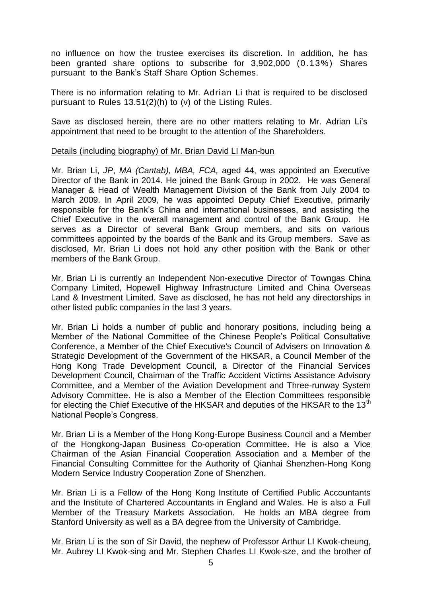no influence on how the trustee exercises its discretion. In addition, he has been granted share options to subscribe for 3,902,000 (0.13%) Shares pursuant to the Bank's Staff Share Option Schemes.

There is no information relating to Mr. Adrian Li that is required to be disclosed pursuant to Rules 13.51(2)(h) to (v) of the Listing Rules.

Save as disclosed herein, there are no other matters relating to Mr. Adrian Li's appointment that need to be brought to the attention of the Shareholders.

#### Details (including biography) of Mr. Brian David LI Man-bun

Mr. Brian Li, *JP*, *MA (Cantab), MBA, FCA,* aged 44, was appointed an Executive Director of the Bank in 2014. He joined the Bank Group in 2002. He was General Manager & Head of Wealth Management Division of the Bank from July 2004 to March 2009. In April 2009, he was appointed Deputy Chief Executive, primarily responsible for the Bank's China and international businesses, and assisting the Chief Executive in the overall management and control of the Bank Group. He serves as a Director of several Bank Group members, and sits on various committees appointed by the boards of the Bank and its Group members. Save as disclosed, Mr. Brian Li does not hold any other position with the Bank or other members of the Bank Group.

Mr. Brian Li is currently an Independent Non-executive Director of Towngas China Company Limited, Hopewell Highway Infrastructure Limited and China Overseas Land & Investment Limited. Save as disclosed, he has not held any directorships in other listed public companies in the last 3 years.

Mr. Brian Li holds a number of public and honorary positions, including being a Member of the National Committee of the Chinese People's Political Consultative Conference, a Member of the Chief Executive's Council of Advisers on Innovation & Strategic Development of the Government of the HKSAR, a Council Member of the Hong Kong Trade Development Council, a Director of the Financial Services Development Council, Chairman of the Traffic Accident Victims Assistance Advisory Committee, and a Member of the Aviation Development and Three-runway System Advisory Committee. He is also a Member of the Election Committees responsible for electing the Chief Executive of the HKSAR and deputies of the HKSAR to the 13<sup>th</sup> National People's Congress.

Mr. Brian Li is a Member of the Hong Kong-Europe Business Council and a Member of the Hongkong-Japan Business Co-operation Committee. He is also a Vice Chairman of the Asian Financial Cooperation Association and a Member of the Financial Consulting Committee for the Authority of Qianhai Shenzhen-Hong Kong Modern Service Industry Cooperation Zone of Shenzhen.

Mr. Brian Li is a Fellow of the Hong Kong Institute of Certified Public Accountants and the Institute of Chartered Accountants in England and Wales. He is also a Full Member of the Treasury Markets Association. He holds an MBA degree from Stanford University as well as a BA degree from the University of Cambridge.

Mr. Brian Li is the son of Sir David, the nephew of Professor Arthur LI Kwok-cheung, Mr. Aubrey LI Kwok-sing and Mr. Stephen Charles LI Kwok-sze, and the brother of